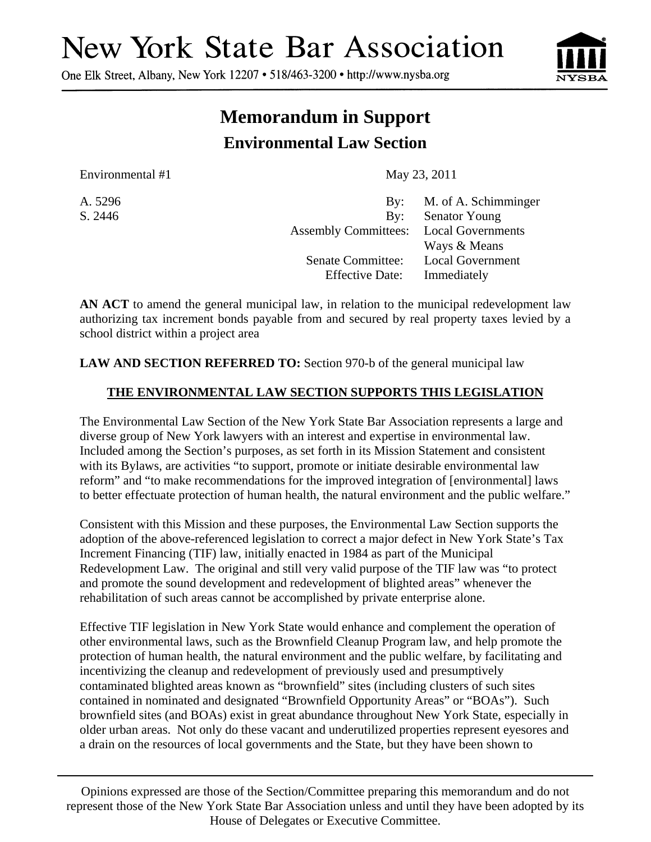## **New York State Bar Association**

One Elk Street, Albany, New York 12207 • 518/463-3200 • http://www.nysba.org



## **Memorandum in Support Environmental Law Section**

Environmental #1 May 23, 2011

A. 5296 By: M. of A. Schimminger S. 2446 By: Senator Young Assembly Committees: Local Governments Ways & Means Senate Committee: Local Government Effective Date: Immediately

**AN ACT** to amend the general municipal law, in relation to the municipal redevelopment law authorizing tax increment bonds payable from and secured by real property taxes levied by a school district within a project area

**LAW AND SECTION REFERRED TO:** Section 970-b of the general municipal law

## **THE ENVIRONMENTAL LAW SECTION SUPPORTS THIS LEGISLATION**

The Environmental Law Section of the New York State Bar Association represents a large and diverse group of New York lawyers with an interest and expertise in environmental law. Included among the Section's purposes, as set forth in its Mission Statement and consistent with its Bylaws, are activities "to support, promote or initiate desirable environmental law reform" and "to make recommendations for the improved integration of [environmental] laws to better effectuate protection of human health, the natural environment and the public welfare."

Consistent with this Mission and these purposes, the Environmental Law Section supports the adoption of the above-referenced legislation to correct a major defect in New York State's Tax Increment Financing (TIF) law, initially enacted in 1984 as part of the Municipal Redevelopment Law. The original and still very valid purpose of the TIF law was "to protect and promote the sound development and redevelopment of blighted areas" whenever the rehabilitation of such areas cannot be accomplished by private enterprise alone.

Effective TIF legislation in New York State would enhance and complement the operation of other environmental laws, such as the Brownfield Cleanup Program law, and help promote the protection of human health, the natural environment and the public welfare, by facilitating and incentivizing the cleanup and redevelopment of previously used and presumptively contaminated blighted areas known as "brownfield" sites (including clusters of such sites contained in nominated and designated "Brownfield Opportunity Areas" or "BOAs"). Such brownfield sites (and BOAs) exist in great abundance throughout New York State, especially in older urban areas. Not only do these vacant and underutilized properties represent eyesores and a drain on the resources of local governments and the State, but they have been shown to

Opinions expressed are those of the Section/Committee preparing this memorandum and do not represent those of the New York State Bar Association unless and until they have been adopted by its House of Delegates or Executive Committee.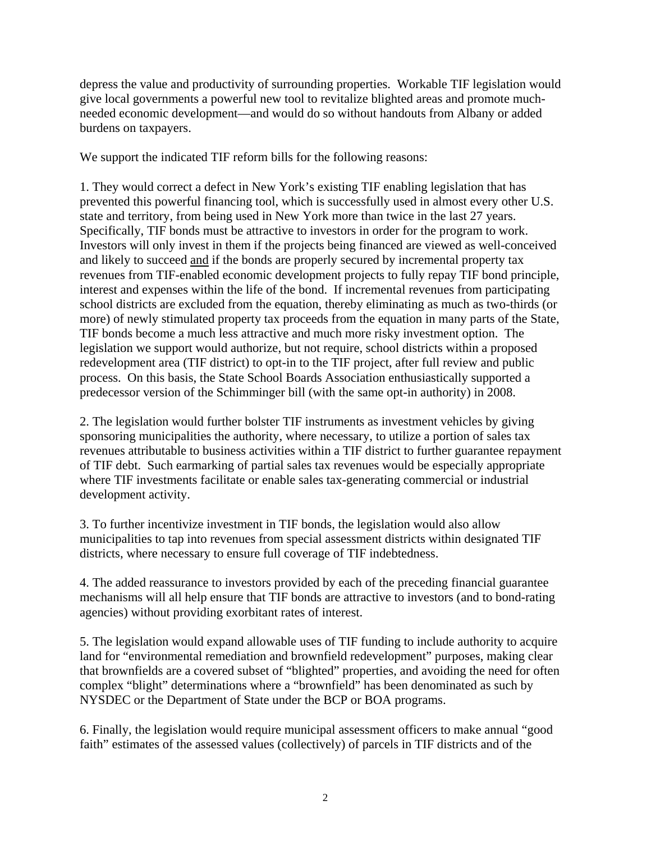depress the value and productivity of surrounding properties. Workable TIF legislation would give local governments a powerful new tool to revitalize blighted areas and promote muchneeded economic development—and would do so without handouts from Albany or added burdens on taxpayers.

We support the indicated TIF reform bills for the following reasons:

1. They would correct a defect in New York's existing TIF enabling legislation that has prevented this powerful financing tool, which is successfully used in almost every other U.S. state and territory, from being used in New York more than twice in the last 27 years. Specifically, TIF bonds must be attractive to investors in order for the program to work. Investors will only invest in them if the projects being financed are viewed as well-conceived and likely to succeed and if the bonds are properly secured by incremental property tax revenues from TIF-enabled economic development projects to fully repay TIF bond principle, interest and expenses within the life of the bond. If incremental revenues from participating school districts are excluded from the equation, thereby eliminating as much as two-thirds (or more) of newly stimulated property tax proceeds from the equation in many parts of the State, TIF bonds become a much less attractive and much more risky investment option. The legislation we support would authorize, but not require, school districts within a proposed redevelopment area (TIF district) to opt-in to the TIF project, after full review and public process. On this basis, the State School Boards Association enthusiastically supported a predecessor version of the Schimminger bill (with the same opt-in authority) in 2008.

2. The legislation would further bolster TIF instruments as investment vehicles by giving sponsoring municipalities the authority, where necessary, to utilize a portion of sales tax revenues attributable to business activities within a TIF district to further guarantee repayment of TIF debt. Such earmarking of partial sales tax revenues would be especially appropriate where TIF investments facilitate or enable sales tax-generating commercial or industrial development activity.

3. To further incentivize investment in TIF bonds, the legislation would also allow municipalities to tap into revenues from special assessment districts within designated TIF districts, where necessary to ensure full coverage of TIF indebtedness.

4. The added reassurance to investors provided by each of the preceding financial guarantee mechanisms will all help ensure that TIF bonds are attractive to investors (and to bond-rating agencies) without providing exorbitant rates of interest.

5. The legislation would expand allowable uses of TIF funding to include authority to acquire land for "environmental remediation and brownfield redevelopment" purposes, making clear that brownfields are a covered subset of "blighted" properties, and avoiding the need for often complex "blight" determinations where a "brownfield" has been denominated as such by NYSDEC or the Department of State under the BCP or BOA programs.

6. Finally, the legislation would require municipal assessment officers to make annual "good faith" estimates of the assessed values (collectively) of parcels in TIF districts and of the